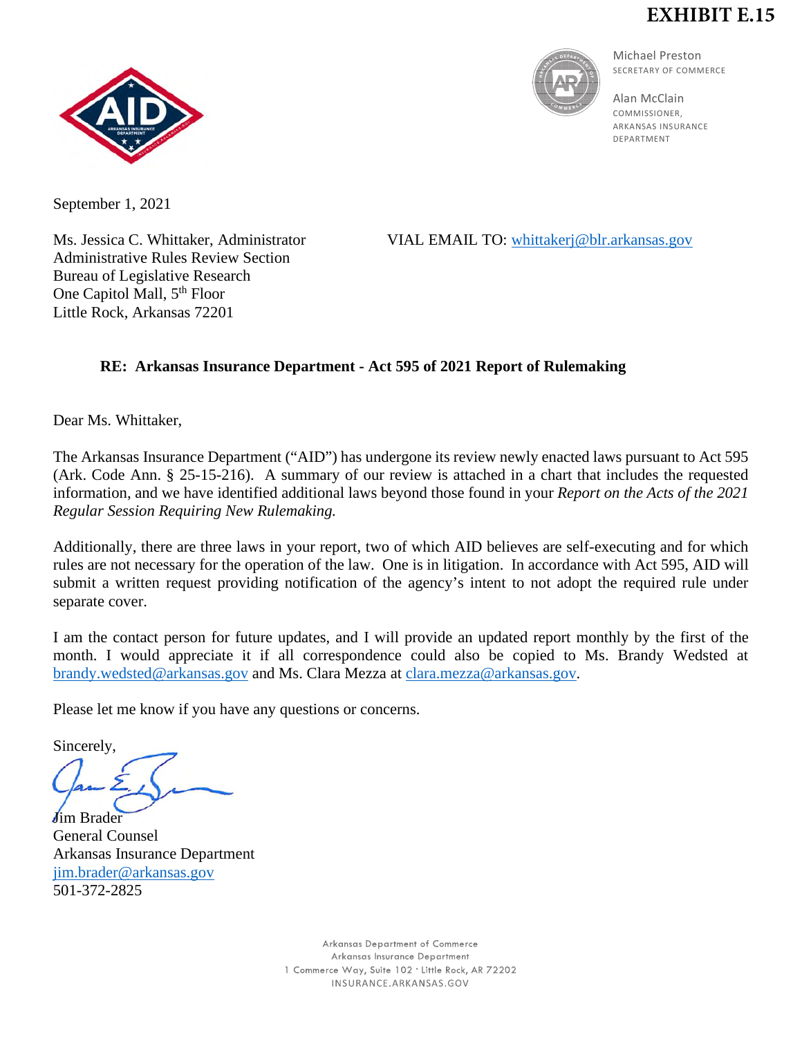## **EXHIBIT E.15**





Michael Preston SECRETARY OF COMMERCE

Alan McClain COMMISSIONER, ARKANSAS INSURANCE DEPARTMENT

September 1, 2021

Administrative Rules Review Section Bureau of Legislative Research One Capitol Mall,  $5<sup>th</sup>$  Floor Little Rock, Arkansas 72201

Ms. Jessica C. Whittaker, Administrator VIAL EMAIL TO: [whittakerj@blr.arkansas.gov](mailto:whittakerj@blr.arkansas.gov)

## **RE: Arkansas Insurance Department - Act 595 of 2021 Report of Rulemaking**

Dear Ms. Whittaker,

The Arkansas Insurance Department ("AID") has undergone its review newly enacted laws pursuant to Act 595 (Ark. Code Ann. § 25-15-216). A summary of our review is attached in a chart that includes the requested information, and we have identified additional laws beyond those found in your *Report on the Acts of the 2021 Regular Session Requiring New Rulemaking.*

Additionally, there are three laws in your report, two of which AID believes are self-executing and for which rules are not necessary for the operation of the law. One is in litigation. In accordance with Act 595, AID will submit a written request providing notification of the agency's intent to not adopt the required rule under separate cover.

I am the contact person for future updates, and I will provide an updated report monthly by the first of the month. I would appreciate it if all correspondence could also be copied to Ms. Brandy Wedsted at [brandy.wedsted@arkansas.gov](mailto:brandy.wedsted@arkansas.gov) and Ms. Clara Mezza at [clara.mezza@arkansas.gov.](mailto:clara.mezza@arkansas.gov)

Please let me know if you have any questions or concerns.

Sincerely, Jim Brader

General Counsel Arkansas Insurance Department [jim.brader@arkansas.gov](mailto:jim.brader@arkansas.gov) 501-372-2825

> Arkansas Department of Commerce Arkansas Insurance Department 1 Commerce Way, Suite 102 . Little Rock, AR 72202 INSURANCE, ARKANSAS, GOV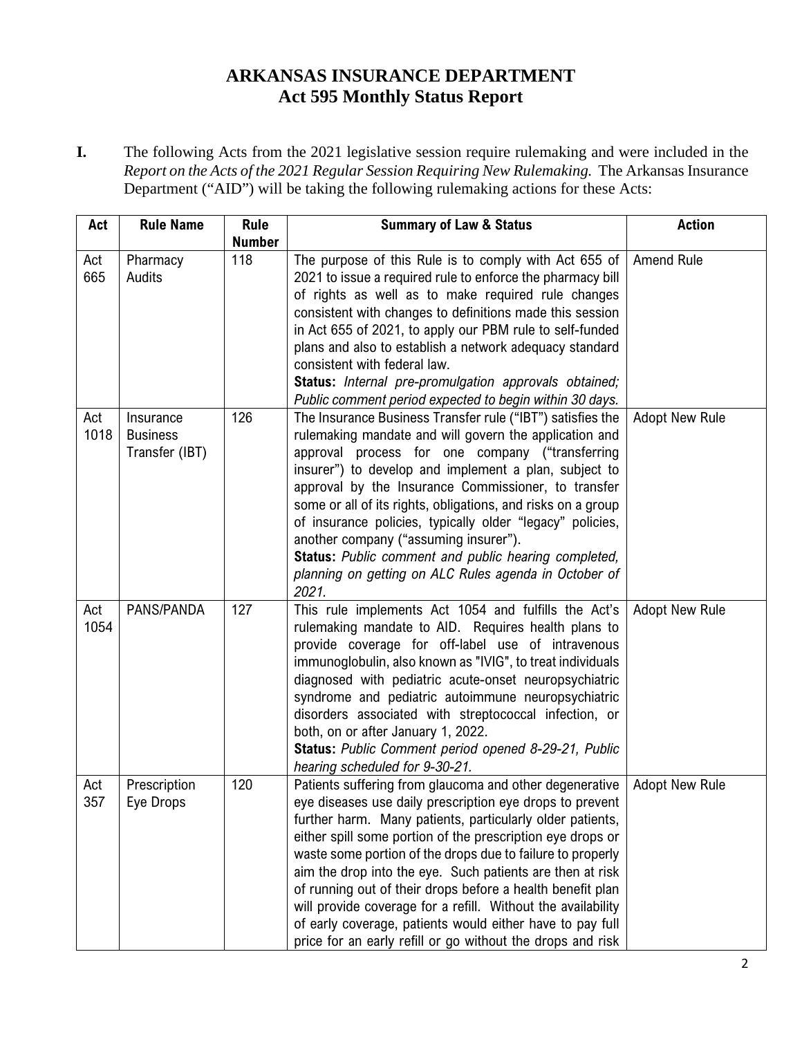## **ARKANSAS INSURANCE DEPARTMENT Act 595 Monthly Status Report**

**I.** The following Acts from the 2021 legislative session require rulemaking and were included in the *Report on the Acts of the 2021 Regular Session Requiring New Rulemaking.* The Arkansas Insurance Department ("AID") will be taking the following rulemaking actions for these Acts:

| Act         | <b>Rule Name</b>                               | <b>Rule</b><br><b>Number</b> | <b>Summary of Law &amp; Status</b>                                                                                                                                                                                                                                                                                                                                                                                                                                                                                                                                                                                                 | <b>Action</b>         |
|-------------|------------------------------------------------|------------------------------|------------------------------------------------------------------------------------------------------------------------------------------------------------------------------------------------------------------------------------------------------------------------------------------------------------------------------------------------------------------------------------------------------------------------------------------------------------------------------------------------------------------------------------------------------------------------------------------------------------------------------------|-----------------------|
| Act<br>665  | Pharmacy<br>Audits                             | 118                          | The purpose of this Rule is to comply with Act 655 of<br>2021 to issue a required rule to enforce the pharmacy bill<br>of rights as well as to make required rule changes<br>consistent with changes to definitions made this session<br>in Act 655 of 2021, to apply our PBM rule to self-funded<br>plans and also to establish a network adequacy standard<br>consistent with federal law.<br>Status: Internal pre-promulgation approvals obtained;<br>Public comment period expected to begin within 30 days.                                                                                                                   | Amend Rule            |
| Act<br>1018 | Insurance<br><b>Business</b><br>Transfer (IBT) | 126                          | The Insurance Business Transfer rule ("IBT") satisfies the<br>rulemaking mandate and will govern the application and<br>approval process for one company ("transferring<br>insurer") to develop and implement a plan, subject to<br>approval by the Insurance Commissioner, to transfer<br>some or all of its rights, obligations, and risks on a group<br>of insurance policies, typically older "legacy" policies,<br>another company ("assuming insurer").<br>Status: Public comment and public hearing completed,<br>planning on getting on ALC Rules agenda in October of<br>2021.                                            | <b>Adopt New Rule</b> |
| Act<br>1054 | PANS/PANDA                                     | 127                          | This rule implements Act 1054 and fulfills the Act's<br>rulemaking mandate to AID. Requires health plans to<br>provide coverage for off-label use of intravenous<br>immunoglobulin, also known as "IVIG", to treat individuals<br>diagnosed with pediatric acute-onset neuropsychiatric<br>syndrome and pediatric autoimmune neuropsychiatric<br>disorders associated with streptococcal infection, or<br>both, on or after January 1, 2022.<br>Status: Public Comment period opened 8-29-21, Public<br>hearing scheduled for 9-30-21.                                                                                             | <b>Adopt New Rule</b> |
| Act<br>357  | Prescription<br>Eye Drops                      | 120                          | Patients suffering from glaucoma and other degenerative<br>eye diseases use daily prescription eye drops to prevent<br>further harm. Many patients, particularly older patients,<br>either spill some portion of the prescription eye drops or<br>waste some portion of the drops due to failure to properly<br>aim the drop into the eye. Such patients are then at risk<br>of running out of their drops before a health benefit plan<br>will provide coverage for a refill. Without the availability<br>of early coverage, patients would either have to pay full<br>price for an early refill or go without the drops and risk | <b>Adopt New Rule</b> |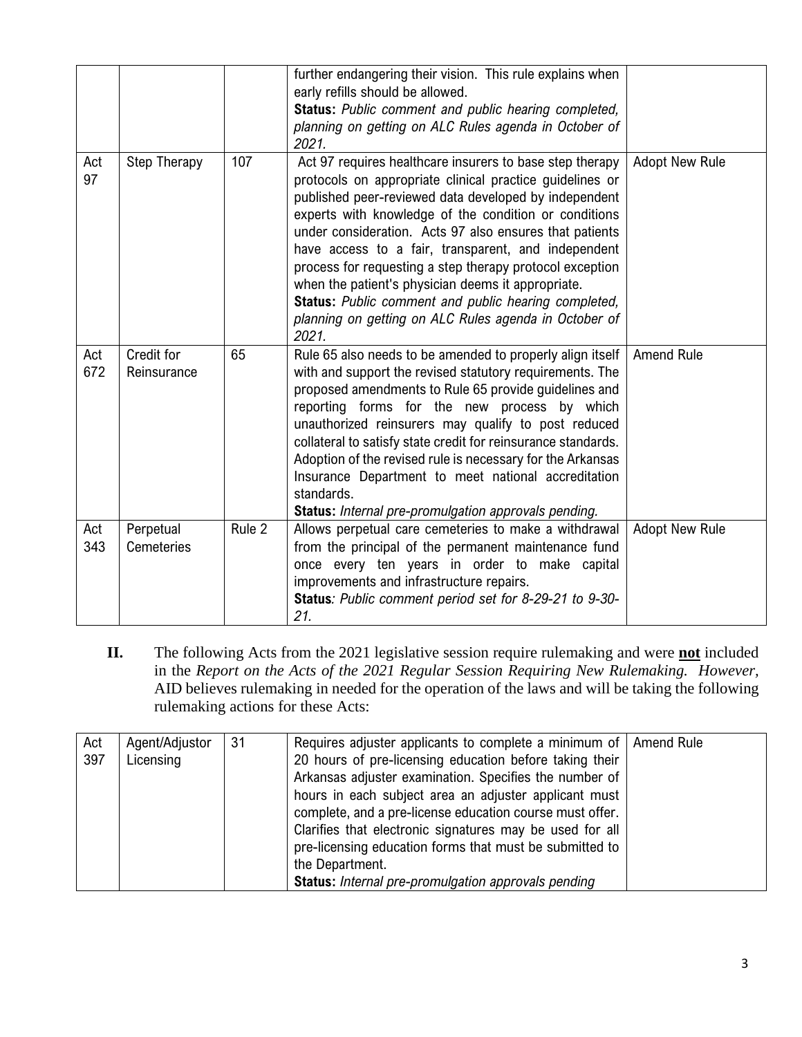|            |                           |        | further endangering their vision. This rule explains when<br>early refills should be allowed.<br>Status: Public comment and public hearing completed,<br>planning on getting on ALC Rules agenda in October of<br>2021.                                                                                                                                                                                                                                                                                                                                                                              |                       |
|------------|---------------------------|--------|------------------------------------------------------------------------------------------------------------------------------------------------------------------------------------------------------------------------------------------------------------------------------------------------------------------------------------------------------------------------------------------------------------------------------------------------------------------------------------------------------------------------------------------------------------------------------------------------------|-----------------------|
| Act<br>97  | <b>Step Therapy</b>       | 107    | Act 97 requires healthcare insurers to base step therapy<br>protocols on appropriate clinical practice guidelines or<br>published peer-reviewed data developed by independent<br>experts with knowledge of the condition or conditions<br>under consideration. Acts 97 also ensures that patients<br>have access to a fair, transparent, and independent<br>process for requesting a step therapy protocol exception<br>when the patient's physician deems it appropriate.<br>Status: Public comment and public hearing completed,<br>planning on getting on ALC Rules agenda in October of<br>2021. | <b>Adopt New Rule</b> |
| Act<br>672 | Credit for<br>Reinsurance | 65     | Rule 65 also needs to be amended to properly align itself<br>with and support the revised statutory requirements. The<br>proposed amendments to Rule 65 provide guidelines and<br>reporting forms for the new process by which<br>unauthorized reinsurers may qualify to post reduced<br>collateral to satisfy state credit for reinsurance standards.<br>Adoption of the revised rule is necessary for the Arkansas<br>Insurance Department to meet national accreditation<br>standards.<br>Status: Internal pre-promulgation approvals pending.                                                    | <b>Amend Rule</b>     |
| Act<br>343 | Perpetual<br>Cemeteries   | Rule 2 | Allows perpetual care cemeteries to make a withdrawal<br>from the principal of the permanent maintenance fund<br>once every ten years in order to make capital<br>improvements and infrastructure repairs.<br>Status: Public comment period set for 8-29-21 to 9-30-<br>21.                                                                                                                                                                                                                                                                                                                          | <b>Adopt New Rule</b> |

**II.** The following Acts from the 2021 legislative session require rulemaking and were **not** included in the *Report on the Acts of the 2021 Regular Session Requiring New Rulemaking. However,* AID believes rulemaking in needed for the operation of the laws and will be taking the following rulemaking actions for these Acts:

| Act<br>397 | Agent/Adjustor<br>Licensing | 31 | Requires adjuster applicants to complete a minimum of  <br>20 hours of pre-licensing education before taking their<br>Arkansas adjuster examination. Specifies the number of<br>hours in each subject area an adjuster applicant must<br>complete, and a pre-license education course must offer.<br>Clarifies that electronic signatures may be used for all<br>pre-licensing education forms that must be submitted to<br>the Department.<br><b>Status:</b> Internal pre-promulgation approvals pending | Amend Rule |
|------------|-----------------------------|----|-----------------------------------------------------------------------------------------------------------------------------------------------------------------------------------------------------------------------------------------------------------------------------------------------------------------------------------------------------------------------------------------------------------------------------------------------------------------------------------------------------------|------------|
|------------|-----------------------------|----|-----------------------------------------------------------------------------------------------------------------------------------------------------------------------------------------------------------------------------------------------------------------------------------------------------------------------------------------------------------------------------------------------------------------------------------------------------------------------------------------------------------|------------|